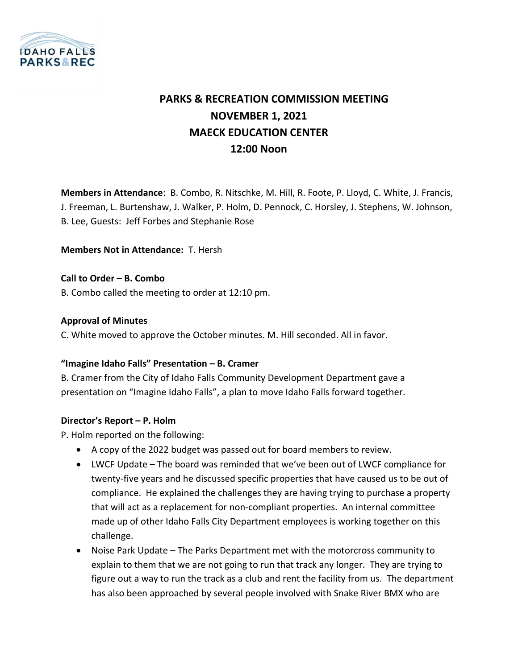

# **PARKS & RECREATION COMMISSION MEETING NOVEMBER 1, 2021 MAECK EDUCATION CENTER 12:00 Noon**

**Members in Attendance**: B. Combo, R. Nitschke, M. Hill, R. Foote, P. Lloyd, C. White, J. Francis, J. Freeman, L. Burtenshaw, J. Walker, P. Holm, D. Pennock, C. Horsley, J. Stephens, W. Johnson, B. Lee, Guests: Jeff Forbes and Stephanie Rose

**Members Not in Attendance:** T. Hersh

#### **Call to Order – B. Combo**

B. Combo called the meeting to order at 12:10 pm.

#### **Approval of Minutes**

C. White moved to approve the October minutes. M. Hill seconded. All in favor.

#### **"Imagine Idaho Falls" Presentation – B. Cramer**

B. Cramer from the City of Idaho Falls Community Development Department gave a presentation on "Imagine Idaho Falls", a plan to move Idaho Falls forward together.

#### **Director's Report – P. Holm**

P. Holm reported on the following:

- A copy of the 2022 budget was passed out for board members to review.
- LWCF Update The board was reminded that we've been out of LWCF compliance for twenty-five years and he discussed specific properties that have caused us to be out of compliance. He explained the challenges they are having trying to purchase a property that will act as a replacement for non-compliant properties. An internal committee made up of other Idaho Falls City Department employees is working together on this challenge.
- Noise Park Update The Parks Department met with the motorcross community to explain to them that we are not going to run that track any longer. They are trying to figure out a way to run the track as a club and rent the facility from us. The department has also been approached by several people involved with Snake River BMX who are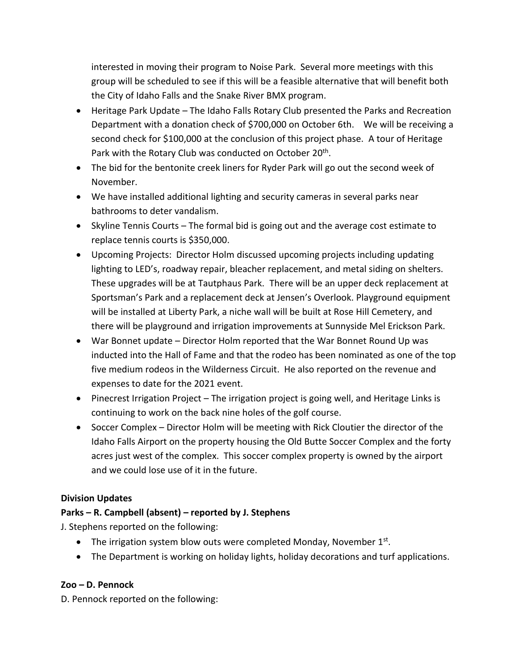interested in moving their program to Noise Park. Several more meetings with this group will be scheduled to see if this will be a feasible alternative that will benefit both the City of Idaho Falls and the Snake River BMX program.

- Heritage Park Update The Idaho Falls Rotary Club presented the Parks and Recreation Department with a donation check of \$700,000 on October 6th. We will be receiving a second check for \$100,000 at the conclusion of this project phase. A tour of Heritage Park with the Rotary Club was conducted on October 20<sup>th</sup>.
- The bid for the bentonite creek liners for Ryder Park will go out the second week of November.
- We have installed additional lighting and security cameras in several parks near bathrooms to deter vandalism.
- Skyline Tennis Courts The formal bid is going out and the average cost estimate to replace tennis courts is \$350,000.
- Upcoming Projects: Director Holm discussed upcoming projects including updating lighting to LED's, roadway repair, bleacher replacement, and metal siding on shelters. These upgrades will be at Tautphaus Park. There will be an upper deck replacement at Sportsman's Park and a replacement deck at Jensen's Overlook. Playground equipment will be installed at Liberty Park, a niche wall will be built at Rose Hill Cemetery, and there will be playground and irrigation improvements at Sunnyside Mel Erickson Park.
- War Bonnet update Director Holm reported that the War Bonnet Round Up was inducted into the Hall of Fame and that the rodeo has been nominated as one of the top five medium rodeos in the Wilderness Circuit. He also reported on the revenue and expenses to date for the 2021 event.
- Pinecrest Irrigation Project The irrigation project is going well, and Heritage Links is continuing to work on the back nine holes of the golf course.
- Soccer Complex Director Holm will be meeting with Rick Cloutier the director of the Idaho Falls Airport on the property housing the Old Butte Soccer Complex and the forty acres just west of the complex. This soccer complex property is owned by the airport and we could lose use of it in the future.

# **Division Updates**

# **Parks – R. Campbell (absent) – reported by J. Stephens**

J. Stephens reported on the following:

- The irrigation system blow outs were completed Monday, November  $1<sup>st</sup>$ .
- The Department is working on holiday lights, holiday decorations and turf applications.

#### **Zoo – D. Pennock**

D. Pennock reported on the following: